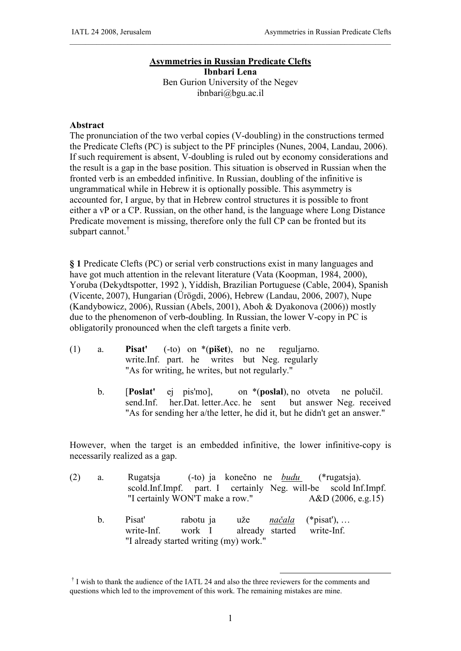## **Asymmetries in Russian Predicate Clefts Ibnbari Lena**

\_\_\_\_\_\_\_\_\_\_\_\_\_\_\_\_\_\_\_\_\_\_\_\_\_\_\_\_\_\_\_\_\_\_\_\_\_\_\_\_\_\_\_\_\_\_\_\_\_\_\_\_\_\_\_\_\_\_\_\_\_\_\_\_\_\_\_\_\_\_\_\_\_\_\_\_\_\_\_\_\_\_\_

Ben Gurion University of the Negev ibnbari@bgu.ac.il

## **Abstract**

The pronunciation of the two verbal copies (V-doubling) in the constructions termed the Predicate Clefts (PC) is subject to the PF principles (Nunes, 2004, Landau, 2006). If such requirement is absent, V-doubling is ruled out by economy considerations and the result is a gap in the base position. This situation is observed in Russian when the fronted verb is an embedded infinitive. In Russian, doubling of the infinitive is ungrammatical while in Hebrew it is optionally possible. This asymmetry is accounted for, I argue, by that in Hebrew control structures it is possible to front either a vP or a CP. Russian, on the other hand, is the language where Long Distance Predicate movement is missing, therefore only the full CP can be fronted but its subpart cannot.<sup>†</sup>

**§ 1** Predicate Clefts (PC) or serial verb constructions exist in many languages and have got much attention in the relevant literature (Vata (Koopman, 1984, 2000), Yoruba (Dekydtspotter, 1992 ), Yiddish, Brazilian Portuguese (Cable, 2004), Spanish (Vicente, 2007), Hungarian (Ürögdi, 2006), Hebrew (Landau, 2006, 2007), Nupe (Kandybowicz, 2006), Russian (Abels, 2001), Aboh & Dyakonova (2006)) mostly due to the phenomenon of verb-doubling. In Russian, the lower V-copy in PC is obligatorily pronounced when the cleft targets a finite verb.

- (1) a. **Pisat'** (-to) on \*(**pišet**), no ne reguljarno. write.Inf. part. he writes but Neg. regularly "As for writing, he writes, but not regularly."
	- b. [**Poslat'** ej pis'mo], on \*(**poslal**), no otveta ne polučil. send.Inf. her.Dat. letter.Acc. he sent but answer Neg. received "As for sending her a/the letter, he did it, but he didn't get an answer."

However, when the target is an embedded infinitive, the lower infinitive-copy is necessarily realized as a gap.

- (2) a. Rugatsja (-to) ja konečno ne *budu* (\*rugatsja). scold.Inf.Impf. part. I certainly Neg. will-be scold Inf.Impf. "I certainly WON'T make a row." A&D (2006, e.g.15)
	- b. Pisat' rabotu ja uže *načala* (\*pisat'), … write-Inf. work I already started write-Inf. "I already started writing (my) work."

<sup>-</sup><sup>†</sup> I wish to thank the audience of the IATL 24 and also the three reviewers for the comments and questions which led to the improvement of this work. The remaining mistakes are mine.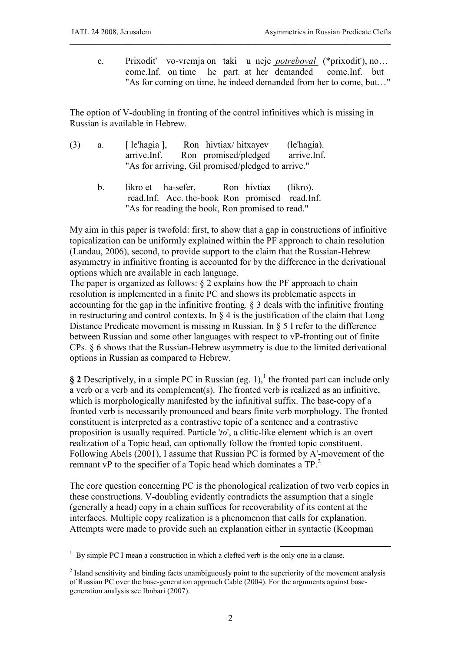c. Prixodit' vo-vremja on taki u neje *potreboval* (\*prixodit'), no… come.Inf. on time he part. at her demanded come.Inf. but "As for coming on time, he indeed demanded from her to come, but…"

\_\_\_\_\_\_\_\_\_\_\_\_\_\_\_\_\_\_\_\_\_\_\_\_\_\_\_\_\_\_\_\_\_\_\_\_\_\_\_\_\_\_\_\_\_\_\_\_\_\_\_\_\_\_\_\_\_\_\_\_\_\_\_\_\_\_\_\_\_\_\_\_\_\_\_\_\_\_\_\_\_\_\_

The option of V-doubling in fronting of the control infinitives which is missing in Russian is available in Hebrew.

| (3) | а. | [ $le'$ hagia ], | Ron hivtiax/hitxayev                               | (le'hagia). |
|-----|----|------------------|----------------------------------------------------|-------------|
|     |    | arrive.Inf.      | Ron promised/pledged                               | arrive.Inf. |
|     |    |                  | "As for arriving, Gil promised/pledged to arrive." |             |

 b. likro et ha-sefer, Ron hivtiax (likro). read.Inf. Acc. the-book Ron promised read.Inf. "As for reading the book, Ron promised to read."

My aim in this paper is twofold: first, to show that a gap in constructions of infinitive topicalization can be uniformly explained within the PF approach to chain resolution (Landau, 2006), second, to provide support to the claim that the Russian-Hebrew asymmetry in infinitive fronting is accounted for by the difference in the derivational options which are available in each language.

The paper is organized as follows:  $\&$  2 explains how the PF approach to chain resolution is implemented in a finite PC and shows its problematic aspects in accounting for the gap in the infinitive fronting. § 3 deals with the infinitive fronting in restructuring and control contexts. In  $\S$  4 is the justification of the claim that Long Distance Predicate movement is missing in Russian. In § 5 I refer to the difference between Russian and some other languages with respect to vP-fronting out of finite CPs. § 6 shows that the Russian-Hebrew asymmetry is due to the limited derivational options in Russian as compared to Hebrew.

 $\S$  2 Descriptively, in a simple PC in Russian (eg. 1),<sup>1</sup> the fronted part can include only a verb or a verb and its complement(s). The fronted verb is realized as an infinitive, which is morphologically manifested by the infinitival suffix. The base-copy of a fronted verb is necessarily pronounced and bears finite verb morphology. The fronted constituent is interpreted as a contrastive topic of a sentence and a contrastive proposition is usually required. Particle '*to*', a clitic-like element which is an overt realization of a Topic head, can optionally follow the fronted topic constituent. Following Abels (2001), I assume that Russian PC is formed by A'-movement of the remnant vP to the specifier of a Topic head which dominates a TP.<sup>2</sup>

The core question concerning PC is the phonological realization of two verb copies in these constructions. V-doubling evidently contradicts the assumption that a single (generally a head) copy in a chain suffices for recoverability of its content at the interfaces. Multiple copy realization is a phenomenon that calls for explanation. Attempts were made to provide such an explanation either in syntactic (Koopman

<sup>&</sup>lt;sup>1</sup> By simple PC I mean a construction in which a clefted verb is the only one in a clause.

<sup>&</sup>lt;sup>2</sup> Island sensitivity and binding facts unambiguously point to the superiority of the movement analysis of Russian PC over the base-generation approach Cable (2004). For the arguments against basegeneration analysis see Ibnbari (2007).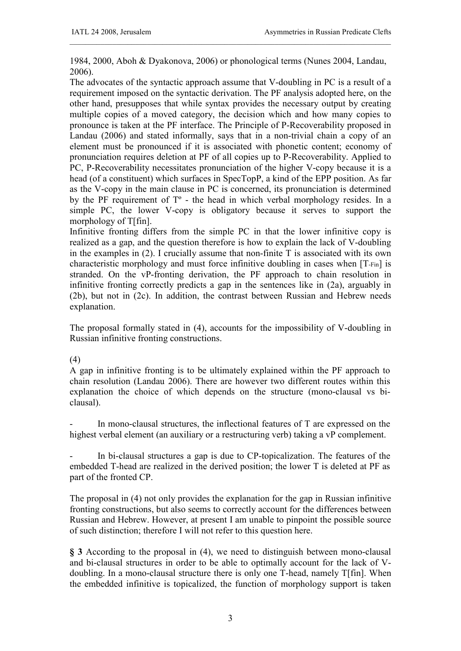1984, 2000, Aboh & Dyakonova, 2006) or phonological terms (Nunes 2004, Landau, 2006).

\_\_\_\_\_\_\_\_\_\_\_\_\_\_\_\_\_\_\_\_\_\_\_\_\_\_\_\_\_\_\_\_\_\_\_\_\_\_\_\_\_\_\_\_\_\_\_\_\_\_\_\_\_\_\_\_\_\_\_\_\_\_\_\_\_\_\_\_\_\_\_\_\_\_\_\_\_\_\_\_\_\_\_

The advocates of the syntactic approach assume that V-doubling in PC is a result of a requirement imposed on the syntactic derivation. The PF analysis adopted here, on the other hand, presupposes that while syntax provides the necessary output by creating multiple copies of a moved category, the decision which and how many copies to pronounce is taken at the PF interface. The Principle of P-Recoverability proposed in Landau (2006) and stated informally, says that in a non-trivial chain a copy of an element must be pronounced if it is associated with phonetic content; economy of pronunciation requires deletion at PF of all copies up to P-Recoverability. Applied to PC, P-Recoverability necessitates pronunciation of the higher V-copy because it is a head (of a constituent) which surfaces in SpecTopP, a kind of the EPP position. As far as the V-copy in the main clause in PC is concerned, its pronunciation is determined by the PF requirement of Tº - the head in which verbal morphology resides. In a simple PC, the lower V-copy is obligatory because it serves to support the morphology of T[fin].

Infinitive fronting differs from the simple PC in that the lower infinitive copy is realized as a gap, and the question therefore is how to explain the lack of V-doubling in the examples in (2). I crucially assume that non-finite T is associated with its own characteristic morphology and must force infinitive doubling in cases when [T-Fin] is stranded. On the vP-fronting derivation, the PF approach to chain resolution in infinitive fronting correctly predicts a gap in the sentences like in (2a), arguably in (2b), but not in (2c). In addition, the contrast between Russian and Hebrew needs explanation.

The proposal formally stated in (4), accounts for the impossibility of V-doubling in Russian infinitive fronting constructions.

## (4)

A gap in infinitive fronting is to be ultimately explained within the PF approach to chain resolution (Landau 2006). There are however two different routes within this explanation the choice of which depends on the structure (mono-clausal vs biclausal).

In mono-clausal structures, the inflectional features of T are expressed on the highest verbal element (an auxiliary or a restructuring verb) taking a vP complement.

In bi-clausal structures a gap is due to CP-topicalization. The features of the embedded T-head are realized in the derived position; the lower T is deleted at PF as part of the fronted CP.

The proposal in (4) not only provides the explanation for the gap in Russian infinitive fronting constructions, but also seems to correctly account for the differences between Russian and Hebrew. However, at present I am unable to pinpoint the possible source of such distinction; therefore I will not refer to this question here.

**§ 3** According to the proposal in (4), we need to distinguish between mono-clausal and bi-clausal structures in order to be able to optimally account for the lack of Vdoubling. In a mono-clausal structure there is only one T-head, namely T[fin]. When the embedded infinitive is topicalized, the function of morphology support is taken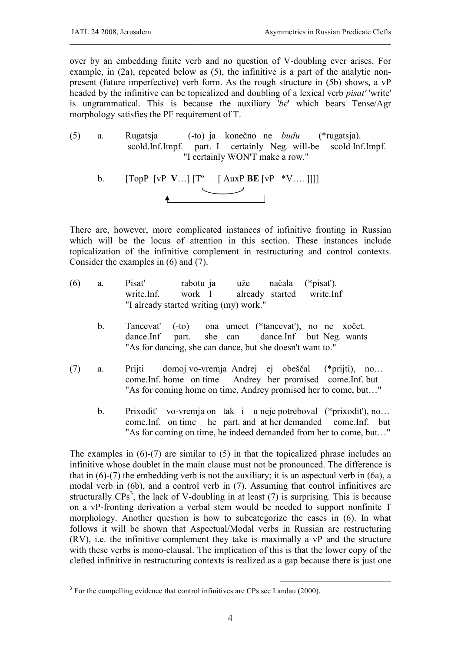over by an embedding finite verb and no question of V-doubling ever arises. For example, in (2a), repeated below as (5), the infinitive is a part of the analytic nonpresent (future imperfective) verb form. As the rough structure in (5b) shows, a vP headed by the infinitive can be topicalized and doubling of a lexical verb *pisat'* 'write' is ungrammatical. This is because the auxiliary '*be*' which bears Tense/Agr morphology satisfies the PF requirement of T.

\_\_\_\_\_\_\_\_\_\_\_\_\_\_\_\_\_\_\_\_\_\_\_\_\_\_\_\_\_\_\_\_\_\_\_\_\_\_\_\_\_\_\_\_\_\_\_\_\_\_\_\_\_\_\_\_\_\_\_\_\_\_\_\_\_\_\_\_\_\_\_\_\_\_\_\_\_\_\_\_\_\_\_

- (5) a. Rugatsja (-to) ja konečno ne *budu* (\*rugatsja). scold.Inf.Impf. part. I certainly Neg. will-be scold Inf.Impf. "I certainly WON'T make a row."
	- b. [TopP [vP **V**…] [Tº [ AuxP **BE** [vP \*V…. ]]]]  $\begin{picture}(20,20) \put(0,0){\line(1,0){10}} \put(15,0){\line(1,0){10}} \put(15,0){\line(1,0){10}} \put(15,0){\line(1,0){10}} \put(15,0){\line(1,0){10}} \put(15,0){\line(1,0){10}} \put(15,0){\line(1,0){10}} \put(15,0){\line(1,0){10}} \put(15,0){\line(1,0){10}} \put(15,0){\line(1,0){10}} \put(15,0){\line(1,0){10}} \put(15,0){\line(1$

There are, however, more complicated instances of infinitive fronting in Russian which will be the locus of attention in this section. These instances include topicalization of the infinitive complement in restructuring and control contexts. Consider the examples in (6) and (7).

- (6) a. Pisat' rabotu ja uže načala (\*pisat'). write.Inf. work I already started write.Inf "I already started writing (my) work."
	- b. Tancevat' (-to) ona umeet (\*tancevat'), no ne xočet. dance.Inf part. she can dance.Inf but Neg. wants "As for dancing, she can dance, but she doesn't want to."
- (7) a. Prijti domoj vo-vremja Andrej ej obeščal (\*prijti), no… come.Inf. home on time Andrey her promised come.Inf. but "As for coming home on time, Andrey promised her to come, but…"
	- b. Prixodit' vo-vremja on tak i u neje potreboval (\*prixodit'), no… come.Inf. on time he part. and at her demanded come.Inf. but "As for coming on time, he indeed demanded from her to come, but…"

The examples in (6)-(7) are similar to (5) in that the topicalized phrase includes an infinitive whose doublet in the main clause must not be pronounced. The difference is that in  $(6)-(7)$  the embedding verb is not the auxiliary; it is an aspectual verb in  $(6a)$ , a modal verb in (6b), and a control verb in (7). Assuming that control infinitives are structurally  $CPs^3$ , the lack of V-doubling in at least (7) is surprising. This is because on a vP-fronting derivation a verbal stem would be needed to support nonfinite T morphology. Another question is how to subcategorize the cases in (6). In what follows it will be shown that Aspectual/Modal verbs in Russian are restructuring (RV), i.e. the infinitive complement they take is maximally a vP and the structure with these verbs is mono-clausal. The implication of this is that the lower copy of the clefted infinitive in restructuring contexts is realized as a gap because there is just one

<sup>&</sup>lt;u>.</u>  $3$  For the compelling evidence that control infinitives are CPs see Landau (2000).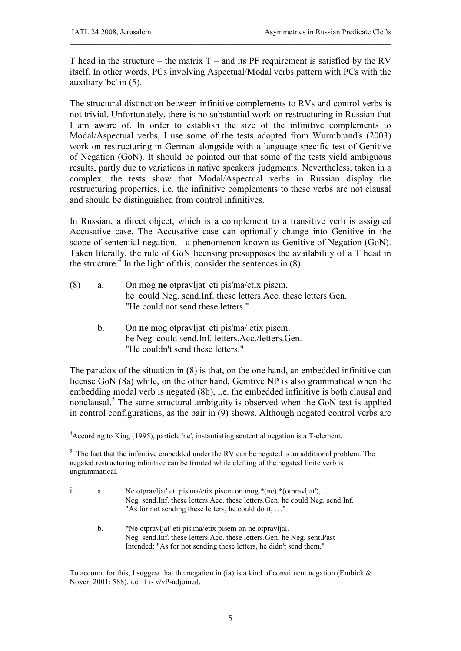T head in the structure – the matrix  $T$  – and its PF requirement is satisfied by the RV itself. In other words, PCs involving Aspectual/Modal verbs pattern with PCs with the auxiliary 'be' in (5).

\_\_\_\_\_\_\_\_\_\_\_\_\_\_\_\_\_\_\_\_\_\_\_\_\_\_\_\_\_\_\_\_\_\_\_\_\_\_\_\_\_\_\_\_\_\_\_\_\_\_\_\_\_\_\_\_\_\_\_\_\_\_\_\_\_\_\_\_\_\_\_\_\_\_\_\_\_\_\_\_\_\_\_

The structural distinction between infinitive complements to RVs and control verbs is not trivial. Unfortunately, there is no substantial work on restructuring in Russian that I am aware of. In order to establish the size of the infinitive complements to Modal/Aspectual verbs, I use some of the tests adopted from Wurmbrand's (2003) work on restructuring in German alongside with a language specific test of Genitive of Negation (GoN). It should be pointed out that some of the tests yield ambiguous results, partly due to variations in native speakers' judgments. Nevertheless, taken in a complex, the tests show that Modal/Aspectual verbs in Russian display the restructuring properties, i.e. the infinitive complements to these verbs are not clausal and should be distinguished from control infinitives.

In Russian, a direct object, which is a complement to a transitive verb is assigned Accusative case. The Accusative case can optionally change into Genitive in the scope of sentential negation, - a phenomenon known as Genitive of Negation (GoN). Taken literally, the rule of GoN licensing presupposes the availability of a T head in the structure.<sup>4</sup> In the light of this, consider the sentences in  $(8)$ .

- (8) a. On mog **ne** otpravljat' eti pis'ma/etix pisem. he could Neg. send.Inf. these letters.Acc. these letters.Gen. "He could not send these letters."
	- b. On **ne** mog otpravljat' eti pis'ma/ etix pisem. he Neg. could send.Inf. letters.Acc./letters.Gen. "He couldn't send these letters."

The paradox of the situation in (8) is that, on the one hand, an embedded infinitive can license GoN (8a) while, on the other hand, Genitive NP is also grammatical when the embedding modal verb is negated (8b), i.e. the embedded infinitive is both clausal and nonclausal.<sup>5</sup> The same structural ambiguity is observed when the GoN test is applied in control configurations, as the pair in (9) shows. Although negated control verbs are

-

<sup>4</sup> According to King (1995), particle 'ne', instantiating sentential negation is a T-element.

 $5$  The fact that the infinitive embedded under the RV can be negated is an additional problem. The negated restructuring infinitive can be fronted while clefting of the negated finite verb is ungrammatical.

| a. | Ne otpravljat' eti pis'ma/etix pisem on mog $*(ne) * (otpravljat')$ ,<br>Neg. send.Inf. these letters.Acc. these letters.Gen. he could Neg. send.Inf.<br>"As for not sending these letters, he could do it, " |
|----|---------------------------------------------------------------------------------------------------------------------------------------------------------------------------------------------------------------|
| b. | *Ne otpravljat' eti pis'ma/etix pisem on ne otpravljal.                                                                                                                                                       |
|    | Neg. send. Inf. these letters. Acc. these letters. Gen. he Neg. sent. Past                                                                                                                                    |
|    | Intended: "As for not sending these letters, he didn't send them."                                                                                                                                            |
|    |                                                                                                                                                                                                               |

To account for this, I suggest that the negation in (ia) is a kind of constituent negation (Embick  $\&$ Noyer, 2001: 588), i.e. it is v/vP-adjoined.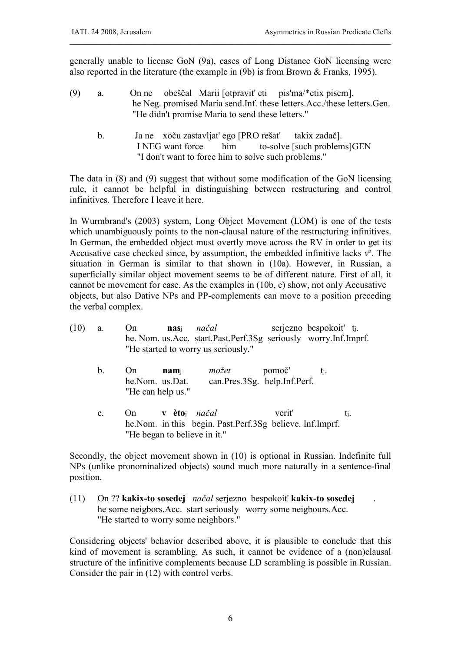generally unable to license GoN (9a), cases of Long Distance GoN licensing were also reported in the literature (the example in (9b) is from Brown & Franks, 1995).

\_\_\_\_\_\_\_\_\_\_\_\_\_\_\_\_\_\_\_\_\_\_\_\_\_\_\_\_\_\_\_\_\_\_\_\_\_\_\_\_\_\_\_\_\_\_\_\_\_\_\_\_\_\_\_\_\_\_\_\_\_\_\_\_\_\_\_\_\_\_\_\_\_\_\_\_\_\_\_\_\_\_\_

- (9) a. On ne obeščal Marii [otpravit' eti pis'ma/\*etix pisem]. he Neg. promised Maria send.Inf. these letters.Acc./these letters.Gen. "He didn't promise Maria to send these letters."
	- b. Ja ne xoču zastavljat' ego [PRO rešat' takix zadač]. I NEG want force him to-solve [such problems]GEN "I don't want to force him to solve such problems."

The data in (8) and (9) suggest that without some modification of the GoN licensing rule, it cannot be helpful in distinguishing between restructuring and control infinitives. Therefore I leave it here.

In Wurmbrand's (2003) system, Long Object Movement (LOM) is one of the tests which unambiguously points to the non-clausal nature of the restructuring infinitives. In German, the embedded object must overtly move across the RV in order to get its Accusative case checked since, by assumption, the embedded infinitive lacks *v*º. The situation in German is similar to that shown in (10a). However, in Russian, a superficially similar object movement seems to be of different nature. First of all, it cannot be movement for case. As the examples in (10b, c) show, not only Accusative objects, but also Dative NPs and PP-complements can move to a position preceding the verbal complex.

| (10) | a.             | On                                         | nasi               | načal<br>he. Nom. us. Acc. start. Past. Perf. 3Sg seriously worry. Inf. Imprf.<br>"He started to worry us seriously." |        | serjezno bespokoiť t <sub>i</sub> . |     |
|------|----------------|--------------------------------------------|--------------------|-----------------------------------------------------------------------------------------------------------------------|--------|-------------------------------------|-----|
|      | b.             | On<br>he.Nom. us.Dat.<br>"He can help us." | $\mathbf{n}$ ami   | možet<br>can.Pres.3Sg. help.Inf.Perf.                                                                                 | pomoč' | ti.                                 |     |
|      | $\mathbf{c}$ . | On                                         | v èto <sub>i</sub> | načal<br>he. Nom. in this begin. Past. Perf. 3Sg believe. Inf. Imprf.                                                 | verit' |                                     | ti. |

Secondly, the object movement shown in (10) is optional in Russian. Indefinite full NPs (unlike pronominalized objects) sound much more naturally in a sentence-final position.

(11) On ?? **kakix-to sosedej** *načal* serjezno bespokoit' **kakix-to sosedej** . he some neigbors.Acc. start seriously worry some neigbours.Acc. "He started to worry some neighbors."

"He began to believe in it."

Considering objects' behavior described above, it is plausible to conclude that this kind of movement is scrambling. As such, it cannot be evidence of a (non)clausal structure of the infinitive complements because LD scrambling is possible in Russian. Consider the pair in (12) with control verbs.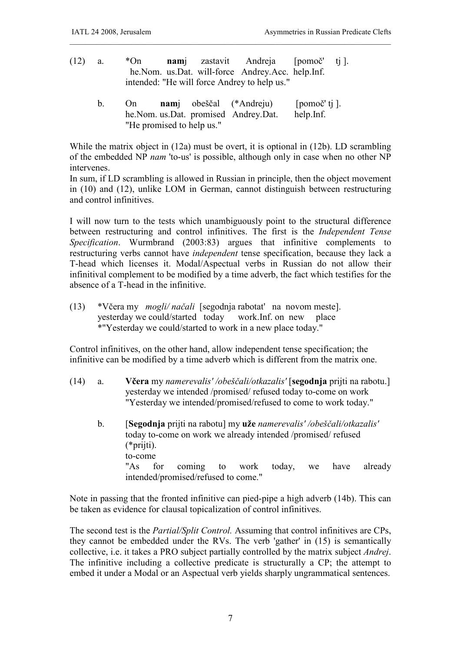- (12) a. \*On **nam**j zastavit Andreja [pomoč' tj ]. he.Nom. us.Dat. will-force Andrey.Acc. help.Inf. intended: "He will force Andrey to help us."
	- b. On **nam**j obeščal (\*Andreju) [pomoč' tj ]. he.Nom. us.Dat. promised Andrey.Dat. help.Inf. "He promised to help us."

While the matrix object in (12a) must be overt, it is optional in (12b). LD scrambling of the embedded NP *nam* 'to-us' is possible, although only in case when no other NP intervenes.

\_\_\_\_\_\_\_\_\_\_\_\_\_\_\_\_\_\_\_\_\_\_\_\_\_\_\_\_\_\_\_\_\_\_\_\_\_\_\_\_\_\_\_\_\_\_\_\_\_\_\_\_\_\_\_\_\_\_\_\_\_\_\_\_\_\_\_\_\_\_\_\_\_\_\_\_\_\_\_\_\_\_\_

In sum, if LD scrambling is allowed in Russian in principle, then the object movement in (10) and (12), unlike LOM in German, cannot distinguish between restructuring and control infinitives.

I will now turn to the tests which unambiguously point to the structural difference between restructuring and control infinitives. The first is the *Independent Tense Specification*. Wurmbrand (2003:83) argues that infinitive complements to restructuring verbs cannot have *independent* tense specification, because they lack a T-head which licenses it. Modal/Aspectual verbs in Russian do not allow their infinitival complement to be modified by a time adverb, the fact which testifies for the absence of a T-head in the infinitive.

(13) \*Včera my *mogli/ načali* [segodnja rabotat' na novom meste]. yesterday we could/started today work.Inf. on new place \*"Yesterday we could/started to work in a new place today."

Control infinitives, on the other hand, allow independent tense specification; the infinitive can be modified by a time adverb which is different from the matrix one.

- (14) a. **Včera** my *namerevalis' /obeščali/otkazalis'* [**segodnja** prijti na rabotu.] yesterday we intended /promised/ refused today to-come on work "Yesterday we intended/promised/refused to come to work today."
	- b. [**Segodnja** prijti na rabotu] my **uže** *namerevalis' /obeščali/otkazalis'* today to-come on work we already intended /promised/ refused (\*prijti). to-come "As for coming to work today, we have already intended/promised/refused to come."

Note in passing that the fronted infinitive can pied-pipe a high adverb (14b). This can be taken as evidence for clausal topicalization of control infinitives.

The second test is the *Partial/Split Control.* Assuming that control infinitives are CPs, they cannot be embedded under the RVs. The verb 'gather' in (15) is semantically collective, i.e. it takes a PRO subject partially controlled by the matrix subject *Andrej*. The infinitive including a collective predicate is structurally a CP; the attempt to embed it under a Modal or an Aspectual verb yields sharply ungrammatical sentences.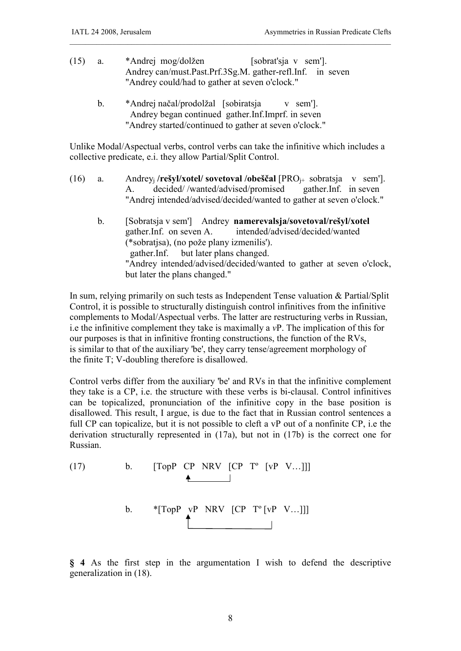- (15) a. \*Andrej mog/dolžen [sobrat'sja v sem']. Andrey can/must.Past.Prf.3Sg.M. gather-refl.Inf. in seven "Andrey could/had to gather at seven o'clock."
	- b. \*Andrej načal/prodolžal [sobiratsja v sem']. Andrey began continued gather.Inf.Imprf. in seven "Andrey started/continued to gather at seven o'clock."

Unlike Modal/Aspectual verbs, control verbs can take the infinitive which includes a collective predicate, e.i. they allow Partial/Split Control.

\_\_\_\_\_\_\_\_\_\_\_\_\_\_\_\_\_\_\_\_\_\_\_\_\_\_\_\_\_\_\_\_\_\_\_\_\_\_\_\_\_\_\_\_\_\_\_\_\_\_\_\_\_\_\_\_\_\_\_\_\_\_\_\_\_\_\_\_\_\_\_\_\_\_\_\_\_\_\_\_\_\_\_

- (16) a. Andrey<sup>j</sup> **/rešyl/xotel/ sovetoval /obeščal** [PROj+ sobratsja v sem']. A. decided/ /wanted/advised/promised gather.Inf. in seven "Andrei intended/advised/decided/wanted to gather at seven o'clock."
	- b. [Sobratsja v sem'] Andrey **namerevalsja/sovetoval/rešyl/xotel** gather.Inf. on seven A. intended/advised/decided/wanted (\*sobratjsa), (no pože plany izmenilis'). gather.Inf. but later plans changed. "Andrey intended/advised/decided/wanted to gather at seven o'clock, but later the plans changed."

In sum, relying primarily on such tests as Independent Tense valuation & Partial/Split Control, it is possible to structurally distinguish control infinitives from the infinitive complements to Modal/Aspectual verbs. The latter are restructuring verbs in Russian, i.e the infinitive complement they take is maximally a *v*P. The implication of this for our purposes is that in infinitive fronting constructions, the function of the RVs, is similar to that of the auxiliary 'be', they carry tense/agreement morphology of the finite T; V-doubling therefore is disallowed.

Control verbs differ from the auxiliary 'be' and RVs in that the infinitive complement they take is a CP, i.e. the structure with these verbs is bi-clausal. Control infinitives can be topicalized, pronunciation of the infinitive copy in the base position is disallowed. This result, I argue, is due to the fact that in Russian control sentences a full CP can topicalize, but it is not possible to cleft a vP out of a nonfinite CP, i.e the derivation structurally represented in (17a), but not in (17b) is the correct one for Russian.

(17) b. [TopP CP NRV [CP Tº [vP V…]]] b. \*[TopP vP NRV [CP Tº [vP V…]]]

**§ 4** As the first step in the argumentation I wish to defend the descriptive generalization in (18).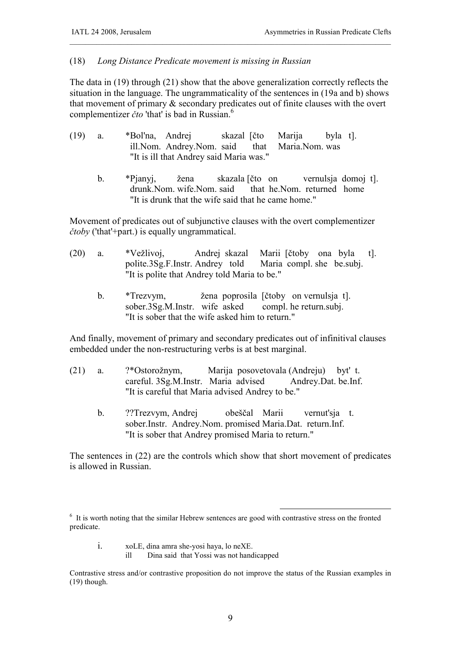## (18) *Long Distance Predicate movement is missing in Russian*

The data in (19) through (21) show that the above generalization correctly reflects the situation in the language. The ungrammaticality of the sentences in (19a and b) shows that movement of primary & secondary predicates out of finite clauses with the overt complementizer *čto* 'that' is bad in Russian.<sup>6</sup>

\_\_\_\_\_\_\_\_\_\_\_\_\_\_\_\_\_\_\_\_\_\_\_\_\_\_\_\_\_\_\_\_\_\_\_\_\_\_\_\_\_\_\_\_\_\_\_\_\_\_\_\_\_\_\_\_\_\_\_\_\_\_\_\_\_\_\_\_\_\_\_\_\_\_\_\_\_\_\_\_\_\_\_

- (19) a. \*Bol'na, Andrej skazal [čto Marija byla t]. ill.Nom. Andrey.Nom. said that Maria.Nom. was "It is ill that Andrey said Maria was."
	- b. \*Pjanyj, žena skazala [čto on vernulsja domoj t]. drunk.Nom. wife.Nom. said that he.Nom. returned home "It is drunk that the wife said that he came home."

Movement of predicates out of subjunctive clauses with the overt complementizer *čtoby* ('that'+part.) is equally ungrammatical.

- (20) a. \*Vežlivoj, Andrej skazal Marii [čtoby ona byla t]. polite.3Sg.F.Instr. Andrey told Maria compl. she be.subj. "It is polite that Andrey told Maria to be."
	- b. \*Trezvym, žena poprosila [čtoby on vernulsja t]. sober.3Sg.M.Instr. wife asked compl. he return.subj. "It is sober that the wife asked him to return."

And finally, movement of primary and secondary predicates out of infinitival clauses embedded under the non-restructuring verbs is at best marginal.

- (21) a. ?\*Ostorožnym, Marija posovetovala (Andreju) byt' t. careful. 3Sg.M.Instr. Maria advised Andrey.Dat. be.Inf. "It is careful that Maria advised Andrey to be."
	- b. ??Trezvym, Andrej obeščal Marii vernut'sja t. sober.Instr. Andrey.Nom. promised Maria.Dat. return.Inf. "It is sober that Andrey promised Maria to return."

The sentences in (22) are the controls which show that short movement of predicates is allowed in Russian.

-<sup>6</sup> It is worth noting that the similar Hebrew sentences are good with contrastive stress on the fronted predicate.

i. xoLE, dina amra she-yosi haya, lo neXE.<br>ill Dina said that Yossi was not hand

Dina said that Yossi was not handicapped

Contrastive stress and/or contrastive proposition do not improve the status of the Russian examples in (19) though.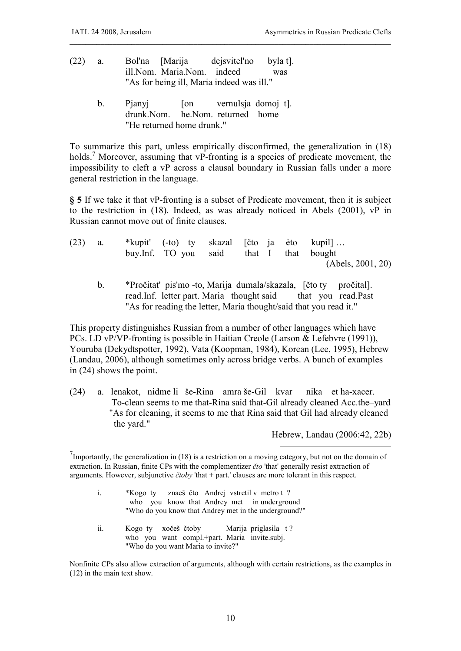- (22) a. Bol'na [Marija dejsvitel'no byla t]. ill.Nom. Maria.Nom. indeed was "As for being ill, Maria indeed was ill."
	- b. Pjanyj [on vernulsja domoj t]. drunk.Nom. he.Nom. returned home "He returned home drunk."

To summarize this part, unless empirically disconfirmed, the generalization in (18) holds.<sup>7</sup> Moreover, assuming that vP-fronting is a species of predicate movement, the impossibility to cleft a vP across a clausal boundary in Russian falls under a more general restriction in the language.

\_\_\_\_\_\_\_\_\_\_\_\_\_\_\_\_\_\_\_\_\_\_\_\_\_\_\_\_\_\_\_\_\_\_\_\_\_\_\_\_\_\_\_\_\_\_\_\_\_\_\_\_\_\_\_\_\_\_\_\_\_\_\_\_\_\_\_\_\_\_\_\_\_\_\_\_\_\_\_\_\_\_\_

**§ 5** If we take it that vP-fronting is a subset of Predicate movement, then it is subject to the restriction in (18). Indeed, as was already noticed in Abels (2001), vP in Russian cannot move out of finite clauses.

| (23) | a. | *kupit' (-to) ty skazal [čto ja èto kupil] |  |  |                   |
|------|----|--------------------------------------------|--|--|-------------------|
|      |    | buy.Inf. TO you said that I that bought    |  |  |                   |
|      |    |                                            |  |  | (Abels, 2001, 20) |
|      |    |                                            |  |  |                   |

b. \*Pročitat' pis'mo -to, Marija dumala/skazala, [čto ty pročital]. read.Inf. letter part. Maria thought said that you read.Past "As for reading the letter, Maria thought/said that you read it."

This property distinguishes Russian from a number of other languages which have PCs. LD vP/VP-fronting is possible in Haitian Creole (Larson & Lefebvre (1991)), Youruba (Dekydtspotter, 1992), Vata (Koopman, 1984), Korean (Lee, 1995), Hebrew (Landau, 2006), although sometimes only across bridge verbs. A bunch of examples in (24) shows the point.

(24) a. lenakot, nidme li še-Rina amra še-Gil kvar nika et ha-xacer. To-clean seems to me that-Rina said that-Gil already cleaned Acc.the–yard "As for cleaning, it seems to me that Rina said that Gil had already cleaned the yard."

Hebrew, Landau (2006:42, 22b)

-

<sup>7</sup>Importantly, the generalization in (18) is a restriction on a moving category, but not on the domain of extraction. In Russian, finite CPs with the complementizer *čto* 'that' generally resist extraction of arguments. However, subjunctive *čtoby* 'that + part.' clauses are more tolerant in this respect.

- i. \*Kogo ty znaeš čto Andrej vstretil v metro t ? who you know that Andrey met in underground "Who do you know that Andrey met in the underground?"
- ii. Kogo ty xočeš čtoby Marija priglasila t? who you want compl.+part. Maria invite.subj. "Who do you want Maria to invite?"

Nonfinite CPs also allow extraction of arguments, although with certain restrictions, as the examples in (12) in the main text show.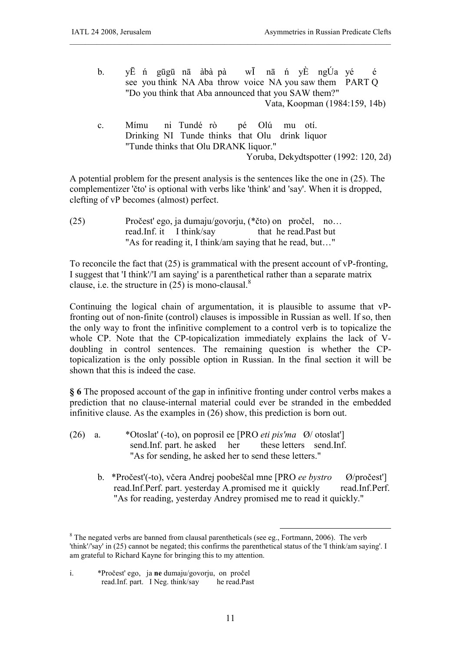b. yĒ ń gūgū nā àbà pà wĪ nā ń yÈ ngÚa yé é see you think NA Aba throw voice NA you saw them PART Q "Do you think that Aba announced that you SAW them?" Vata, Koopman (1984:159, 14b)

\_\_\_\_\_\_\_\_\_\_\_\_\_\_\_\_\_\_\_\_\_\_\_\_\_\_\_\_\_\_\_\_\_\_\_\_\_\_\_\_\_\_\_\_\_\_\_\_\_\_\_\_\_\_\_\_\_\_\_\_\_\_\_\_\_\_\_\_\_\_\_\_\_\_\_\_\_\_\_\_\_\_\_

c. Mímu ni Tundé rò pé Olú mu otí. Drinking NI Tunde thinks that Olu drink liquor "Tunde thinks that Olu DRANK liquor." Yoruba, Dekydtspotter (1992: 120, 2d)

A potential problem for the present analysis is the sentences like the one in (25). The complementizer 'čto' is optional with verbs like 'think' and 'say'. When it is dropped, clefting of vP becomes (almost) perfect.

(25) Pročest' ego, ja dumaju/govorju, (\*čto) on pročel, no… read.Inf. it I think/say that he read.Past but "As for reading it, I think/am saying that he read, but…"

To reconcile the fact that (25) is grammatical with the present account of vP-fronting, I suggest that 'I think'/'I am saying' is a parenthetical rather than a separate matrix clause, i.e. the structure in  $(25)$  is mono-clausal.<sup>8</sup>

Continuing the logical chain of argumentation, it is plausible to assume that vPfronting out of non-finite (control) clauses is impossible in Russian as well. If so, then the only way to front the infinitive complement to a control verb is to topicalize the whole CP. Note that the CP-topicalization immediately explains the lack of Vdoubling in control sentences. The remaining question is whether the CPtopicalization is the only possible option in Russian. In the final section it will be shown that this is indeed the case.

**§ 6** The proposed account of the gap in infinitive fronting under control verbs makes a prediction that no clause-internal material could ever be stranded in the embedded infinitive clause. As the examples in (26) show, this prediction is born out.

- (26) a. \*Otoslat' (-to), on poprosil ee [PRO *eti pis'ma* Ø/ otoslat'] send.Inf. part. he asked her these letters send.Inf. "As for sending, he asked her to send these letters."
	- b. \*Pročest'(-to), včera Andrej poobeščal mne [PRO *ee bystro* Ø/pročest'] read.Inf.Perf. part. yesterday A.promised me it quickly read.Inf.Perf. "As for reading, yesterday Andrey promised me to read it quickly."

<u>.</u>

i. \*Pročest' ego, ja **ne** dumaju/govorju, on pročel read.Inf. part. I Neg. think/say

<sup>&</sup>lt;sup>8</sup> The negated verbs are banned from clausal parentheticals (see eg., Fortmann, 2006). The verb 'think'/'say' in (25) cannot be negated; this confirms the parenthetical status of the 'I think/am saying'. I am grateful to Richard Kayne for bringing this to my attention.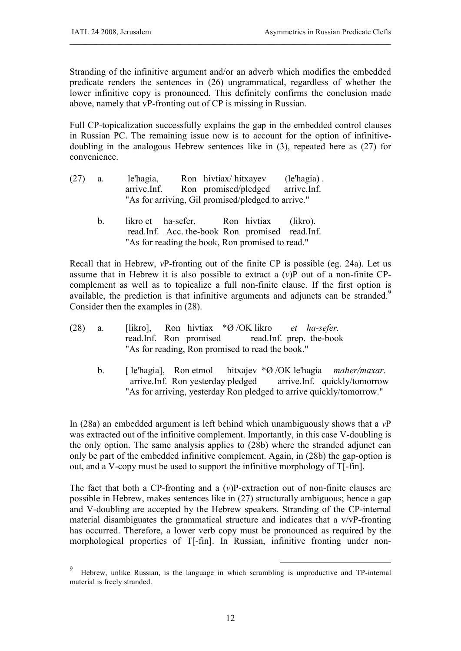Stranding of the infinitive argument and/or an adverb which modifies the embedded predicate renders the sentences in (26) ungrammatical, regardless of whether the lower infinitive copy is pronounced. This definitely confirms the conclusion made above, namely that vP-fronting out of CP is missing in Russian.

\_\_\_\_\_\_\_\_\_\_\_\_\_\_\_\_\_\_\_\_\_\_\_\_\_\_\_\_\_\_\_\_\_\_\_\_\_\_\_\_\_\_\_\_\_\_\_\_\_\_\_\_\_\_\_\_\_\_\_\_\_\_\_\_\_\_\_\_\_\_\_\_\_\_\_\_\_\_\_\_\_\_\_

Full CP-topicalization successfully explains the gap in the embedded control clauses in Russian PC. The remaining issue now is to account for the option of infinitivedoubling in the analogous Hebrew sentences like in (3), repeated here as (27) for convenience.

| (27) | a. | le'hagia,   |                                                    | Ron hivtiax/hitxayev              | $(le'$ hagia). |  |
|------|----|-------------|----------------------------------------------------|-----------------------------------|----------------|--|
|      |    | arrive.Inf. |                                                    | Ron promised/pledged arrive. Inf. |                |  |
|      |    |             | "As for arriving, Gil promised/pledged to arrive." |                                   |                |  |

 b. likro et ha-sefer, Ron hivtiax (likro). read.Inf. Acc. the-book Ron promised read.Inf. "As for reading the book, Ron promised to read."

Recall that in Hebrew, *v*P-fronting out of the finite CP is possible (eg. 24a). Let us assume that in Hebrew it is also possible to extract a (*v*)P out of a non-finite CPcomplement as well as to topicalize a full non-finite clause. If the first option is available, the prediction is that infinitive arguments and adjuncts can be stranded.<sup>9</sup> Consider then the examples in (28).

| $(28)$ a. |  |  | [likro], Ron hivtiax $\mathcal{A} \oslash OK$ likro <i>et ha-sefer.</i> |  |
|-----------|--|--|-------------------------------------------------------------------------|--|
|           |  |  | read.Inf. Ron promised read.Inf. prep. the-book                         |  |
|           |  |  | "As for reading, Ron promised to read the book."                        |  |

b. [ le'hagia], Ron etmol hitxajev \*Ø /OK le'hagia *maher/maxar*. arrive.Inf. Ron yesterday pledged arrive.Inf. quickly/tomorrow "As for arriving, yesterday Ron pledged to arrive quickly/tomorrow."

In (28a) an embedded argument is left behind which unambiguously shows that a *v*P was extracted out of the infinitive complement. Importantly, in this case V-doubling is the only option. The same analysis applies to (28b) where the stranded adjunct can only be part of the embedded infinitive complement. Again, in (28b) the gap-option is out, and a V-copy must be used to support the infinitive morphology of T[-fin].

The fact that both a CP-fronting and a (*v*)P-extraction out of non-finite clauses are possible in Hebrew, makes sentences like in (27) structurally ambiguous; hence a gap and V-doubling are accepted by the Hebrew speakers. Stranding of the CP-internal material disambiguates the grammatical structure and indicates that a v/vP-fronting has occurred. Therefore, a lower verb copy must be pronounced as required by the morphological properties of T[-fin]. In Russian, infinitive fronting under non-

-

<sup>9</sup> Hebrew, unlike Russian, is the language in which scrambling is unproductive and TP-internal material is freely stranded.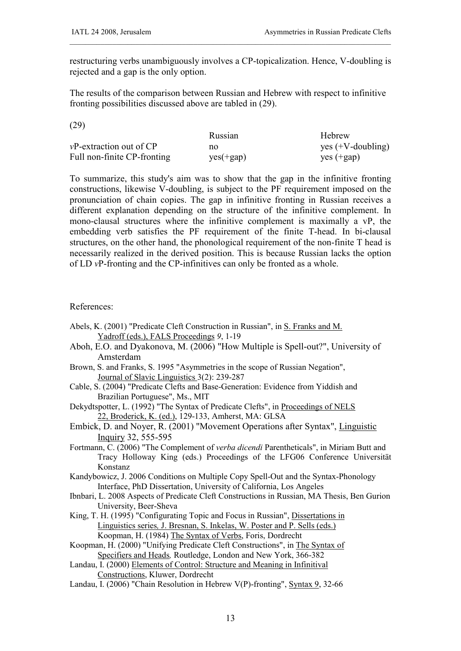restructuring verbs unambiguously involves a CP-topicalization. Hence, V-doubling is rejected and a gap is the only option.

\_\_\_\_\_\_\_\_\_\_\_\_\_\_\_\_\_\_\_\_\_\_\_\_\_\_\_\_\_\_\_\_\_\_\_\_\_\_\_\_\_\_\_\_\_\_\_\_\_\_\_\_\_\_\_\_\_\_\_\_\_\_\_\_\_\_\_\_\_\_\_\_\_\_\_\_\_\_\_\_\_\_\_

The results of the comparison between Russian and Hebrew with respect to infinitive fronting possibilities discussed above are tabled in (29).

(29)

|                              | Russian     | Hebrew               |
|------------------------------|-------------|----------------------|
| $vP$ -extraction out of $CP$ | no          | yes $(+V$ -doubling) |
| Full non-finite CP-fronting  | $yes(+gap)$ | $yes (+ gap)$        |

To summarize, this study's aim was to show that the gap in the infinitive fronting constructions, likewise V-doubling, is subject to the PF requirement imposed on the pronunciation of chain copies. The gap in infinitive fronting in Russian receives a different explanation depending on the structure of the infinitive complement. In mono-clausal structures where the infinitive complement is maximally a vP, the embedding verb satisfies the PF requirement of the finite T-head. In bi-clausal structures, on the other hand, the phonological requirement of the non-finite T head is necessarily realized in the derived position. This is because Russian lacks the option of LD *v*P-fronting and the CP-infinitives can only be fronted as a whole.

References:

- Abels, K. (2001) "Predicate Cleft Construction in Russian", in S. Franks and M. Yadroff (eds.), FALS Proceedings *9*, 1-19
- Aboh, E.O. and Dyakonova, M. (2006) "How Multiple is Spell-out?", University of Amsterdam
- Brown, S. and Franks, S. 1995 "Asymmetries in the scope of Russian Negation", Journal of Slavic Linguistics 3(2): 239-287
- Cable, S. (2004) "Predicate Clefts and Base-Generation: Evidence from Yiddish and Brazilian Portuguese", Ms., MIT
- Dekydtspotter, L. (1992) "The Syntax of Predicate Clefts", in Proceedings of NELS 22, Broderick, K. (ed.), 129-133, Amherst, MA: GLSA
- Embick, D. and Noyer, R. (2001) "Movement Operations after Syntax", Linguistic Inquiry 32, 555-595
- Fortmann, C. (2006) "The Complement of *verba dicendi* Parentheticals", in Miriam Butt and Tracy Holloway King (eds.) Proceedings of the LFG06 Conference Universität Konstanz
- Kandybowicz, J. 2006 Conditions on Multiple Copy Spell-Out and the Syntax-Phonology Interface, PhD Dissertation, University of California, Los Angeles
- Ibnbari, L. 2008 Aspects of Predicate Cleft Constructions in Russian, MA Thesis, Ben Gurion University, Beer-Sheva
- King, T. H. (1995) "Configurating Topic and Focus in Russian", Dissertations in Linguistics series*,* J. Bresnan, S. Inkelas, W. Poster and P. Sells (eds.) Koopman, H. (1984) The Syntax of Verbs, Foris, Dordrecht
- Koopman, H. (2000) "Unifying Predicate Cleft Constructions", in The Syntax of Specifiers and Heads*,* Routledge, London and New York, 366-382
- Landau, I. (2000) Elements of Control: Structure and Meaning in Infinitival Constructions, Kluwer, Dordrecht
- Landau, I. (2006) "Chain Resolution in Hebrew V(P)-fronting", Syntax 9, 32-66